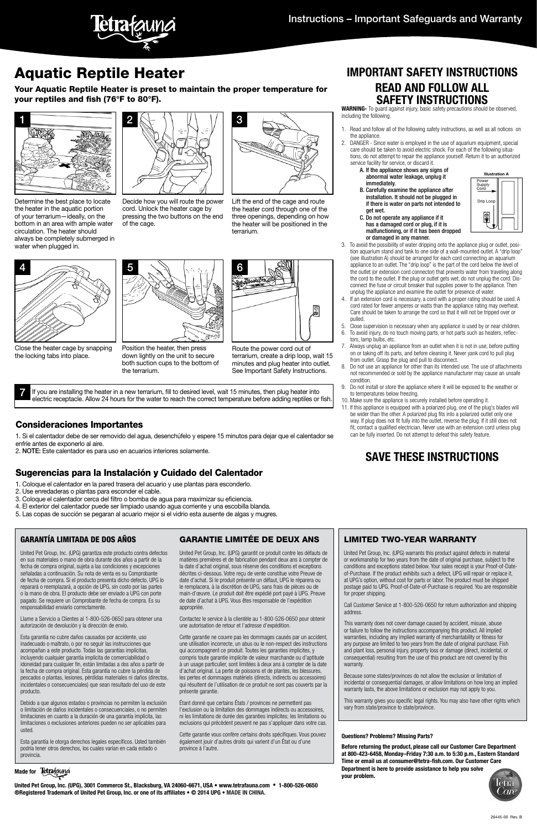Your Aquatic Reptile Heater is preset to maintain the proper temperature for your reptiles and fish (76°F to 80°F).



# Aquatic Reptile Heater **IMPORTANT SAFETY INSTRUCTIONS**

# **READ AND FOLLOW ALL SAFETY INSTRUCTIONS**

**WARNING-** To guard against injury, basic safety precautions should be observed, including the following.

- Read and follow all of the following safety instructions, as well as all notices on the appliance.
- 2. DANGER Since water is employed in the use of aquarium equipment, special care should be taken to avoid electric shock. For each of the following situations, do not attempt to repair the appliance yourself. Return it to an authorized service facility for service, or discard it.
	- A. If the appliance shows any signs of abnormal water leakage, unplug it immediately.
	- B. Carefully examine the appliance after installation. It should not be plugged in if there is water on parts not intended to
	- get wet. C. Do not operate any appliance if it has a damaged cord or plug, if it is malfunctioning, or if it has been dropped
- or damaged in any manner. 3. To avoid the possibility of water dripping onto the appliance plug or outlet, position aquarium stand and tank to one side of a wall-mounted outlet. A "drip loop" (see illustration A) should be arranged for each cord connecting an aquarium appliance to an outlet. The "drip loop" is the part of the cord below the level of the outlet (or extension cord connector) that prevents water from traveling along the cord to the outlet. If the plug or outlet gets wet, do not unplug the cord. Disconnect the fuse or circuit breaker that supplies power to the appliance. Then
- unplug the appliance and examine the outlet for presence of water. 4. If an extension cord is necessary, a cord with a proper rating should be used. A cord rated for fewer amperes or watts than the appliance rating may overheat. Care should be taken to arrange the cord so that it will not be tripped over or pulled.
- 5. Close supervision is necessary when any appliance is used by or near children.
- 6. To avoid injury, do no touch moving parts, or hot parts such as heaters, reflectors, lamp bulbs, etc.
- 7. Always unplug an appliance from an outlet when it is not in use, before putting on or taking off its parts, and before cleaning it. Never yank cord to pull plug from outlet. Grasp the plug and pull to disconnect.
- 8. Do not use an appliance for other than its intended use. The use of attachments not recommended or sold by the appliance manufacturer may cause an unsafe condition.
- 9. Do not install or store the appliance where it will be exposed to the weather or to temperatures below freezing.
- 10. Make sure the appliance is securely installed before operating it.
- 11. If this appliance is equipped with a polarized plug, one of the plug's blades will be wider than the other. A polarized plug fits into a polarized outlet only one way. If plug does not fit fully into the outlet, reverse the plug. If it still does not fit, contact a qualified electrician. Never use with an extension cord unless plug can be fully inserted. Do not attempt to defeat this safety feature.

# **SAVE THESE INSTRUCTIONS**

#### **Questions? Problems? Missing Parts?**

**Before returning the product, please call our Customer Care Department at 800-423-6458, Monday–Friday 7:30 a.m. to 5:30 p.m., Eastern Standard Time or email us at consumer@tetra-fish.com. Our Customer Care Department is here to provide assistance to help you solve your problem.**



Position the heater, then press down lightly on the unit to secure both suction cups to the bottom of the terrarium.









Determine the best place to locate the heater in the aquatic portion of your terrarium—ideally, on the bottom in an area with ample water circulation. The heater should always be completely submerged in water when plugged in.

Decide how you will route the power cord. Unlock the heater cage by pressing the two buttons on the end of the cage.

Lift the end of the cage and route the heater cord through one of the three openings, depending on how the heater will be positioned in the terrarium.

7 If you are installing the heater in a new terrarium, fill to desired level, wait 15 minutes, then plug heater into electric receptacle. Allow 24 hours for the water to reach the correct temperature before adding reptiles or fish.

Route the power cord out of terrarium, create a drip loop, wait 15 minutes and plug heater into outlet. See Important Safety Instructions.

Close the heater cage by snapping the locking tabs into place.

> Cette garantie vous confère certains droits spécifiques. Vous pouvez également jouir d'autres droits qui varient d'un État ou d'une province à l'autre.

### Consideraciones Importantes

1. Si el calentador debe de ser removido del agua, desenchúfelo y espere 15 minutos para dejar que el calentador se enfríe antes de exponerlo al aire.

2. NOTE: Este calentador es para uso en acuarios interiores solamente.

### Sugerencias para la Instalación y Cuidado del Calentador

- 1. Coloque el calentador en la pared trasera del acuario y use plantas para esconderlo.
- 2. Use enredaderas o plantas para esconder el cable.
- 3. Coloque el calentador cerca del filtro o bomba de agua para maximizar su eficiencia.
- 4. El exterior del calentador puede ser limpiado usando agua corriente y una escobilla blanda.
- 5. Las copas de succión se pegaran al acuario mejor si el vidrio esta ausente de algas y mugres.







### GARANTÍA LIMITADA DE DOS AÑOS

United Pet Group, Inc. (UPG) garantiza este producto contra defectos en sus materiales o mano de obra durante dos años a partir de la fecha de compra original, sujeta a las condiciones y excepciones señaladas a continuación. Su nota de venta es su Comprobante de fecha de compra. Si el producto presenta dicho defecto, UPG lo reparará o reemplazará, a opción de UPG, sin costo por las partes o la mano de obra. El producto debe ser enviado a UPG con porte pagado. Se requiere un Comprobante de fecha de compra. Es su responsabilidad enviarlo correctamente.

Llame a Servicio a Clientes al 1-800-526-0650 para obtener una autorización de devolución y la dirección de envío.

Esta garantía no cubre daños causados por accidente, uso inadecuado o maltrato, o por no seguir las instrucciones que acompañan a este producto. Todas las garantías implícitas, incluyendo cualquier garantía implícita de comerciabilidad o idoneidad para cualquier fin, están limitadas a dos años a partir de la fecha de compra original. Esta garantía no cubre la pérdida de pescados o plantas, lesiones, pérdidas materiales ni daños (directos, incidentales o consecuenciales) que sean resultado del uso de este producto.

Debido a que algunos estados o provincias no permiten la exclusión o limitación de daños incidentales o consecuenciales, o no permiten limitaciones en cuanto a la duración de una garantía implícita, las limitaciones o exclusiones anteriores pueden no ser aplicables para usted.

Esta garantía le otorga derechos legales específicos. Usted también podría tener otros derechos, los cuales varían en cada estado o provincia.

### GARANTIE LIMITÉE DE DEUX ANS

United Pet Group, Inc. (UPG) garantit ce produit contre les défauts de matières premières et de fabrication pendant deux ans à compter de la date d'achat original, sous réserve des conditions et exceptions décrites ci-dessous. Votre reçu de vente constitue votre Preuve de date d'achat. Si le produit présente un défaut, UPG le réparera ou le remplacera, à la discrétion de UPG, sans frais de pièces ou de main-d'œuvre. Le produit doit être expédié port payé à UPG. Preuve de date d'achat à UPG. Vous êtes responsable de l'expédition appropriée.

Contactez le service à la clientèle au 1-800-526-0650 pour obtenir une autorisation de retour et l'adresse d'expédition.

® **Made for**

Cette garantie ne couvre pas les dommages causés par un accident, une utilisation incorrecte, un abus ou le non-respect des instructions qui accompagnent ce produit. Toutes les garanties implicites, y compris toute garantie implicite de valeur marchande ou d'aptitude à un usage particulier, sont limitées à deux ans à compter de la date d'achat original. La perte de poissons et de plantes, les blessures, les pertes et dommages matériels (directs, indirects ou accessoires) qui résultent de l'utilisation de ce produit ne sont pas couverts par la présente garantie.

Étant donné que certains États / provinces ne permettent pas l'exclusion ou la limitation des dommages indirects ou accessoires, ni les limitations de durée des garanties implicites; les limitations ou exclusions qui précèdent peuvent ne pas s'appliquer dans votre cas.

### LIMITED TWO-YEAR WARRANTY

United Pet Group, Inc. (UPG) warrants this product against defects in material or workmanship for two years from the date of original purchase, subject to the conditions and exceptions stated below. Your sales receipt is your Proof-of-Dateof-Purchase. If the product exhibits such a defect, UPG will repair or replace it, at UPG's option, without cost for parts or labor. The product must be shipped postage paid to UPG. Proof-of-Date-of-Purchase is required. You are responsible for proper shipping.

Call Customer Service at 1-800-526-0650 for return authorization and shipping

address.

This warranty does not cover damage caused by accident, misuse, abuse or failure to follow the instructions accompanying this product. All implied warranties, including any implied warranty of merchantability or fitness for any purpose are limited to two years from the date of original purchase. Fish and plant loss, personal injury, property loss or damage (direct, incidental, or consequential) resulting from the use of this product are not covered by this warranty.

Because some states/provinces do not allow the exclusion or limitation of incidental or consequential damages, or allow limitations on how long an implied warranty lasts, the above limitations or exclusion may not apply to you.

This warranty gives you specific legal rights. You may also have other rights which vary from state/province to state/province.

**United Pet Group, Inc. (UPG), 3001 Commerce St., Blacksburg, VA 24060-6671, USA • www.tetrafauna.com • 1-800-526-0650 ®Registered Trademark of United Pet Group, Inc. or one of its affiliates • © 2014 UPG • MADE IN CHINA.**